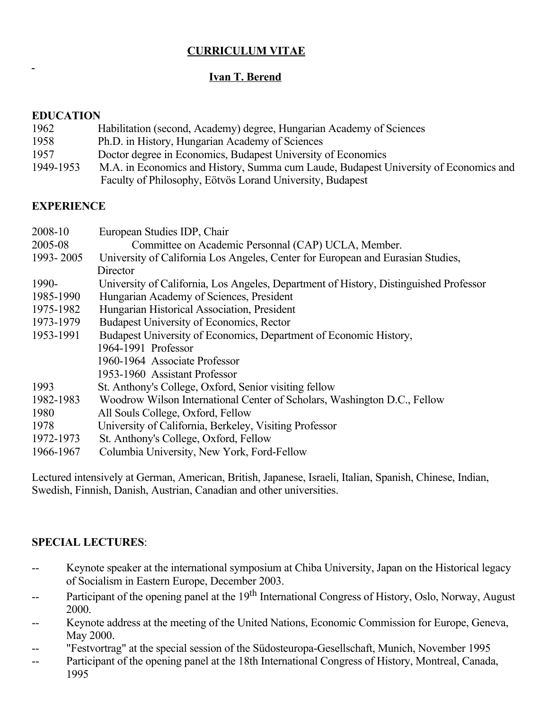# CURRICULUM VITAE

# Ivan T. Berend

### EDUCATION

 $\mathbf{r}$ 

- 1962 Habilitation (second, Academy) degree, Hungarian Academy of Sciences
- 1958 Ph.D. in History, Hungarian Academy of Sciences
- 1957 Doctor degree in Economics, Budapest University of Economics
- 1949-1953 M.A. in Economics and History, Summa cum Laude, Budapest University of Economics and Faculty of Philosophy, Eötvös Lorand University, Budapest

## **EXPERIENCE**

| 2008-10   | European Studies IDP, Chair                                                           |
|-----------|---------------------------------------------------------------------------------------|
| 2005-08   | Committee on Academic Personnal (CAP) UCLA, Member.                                   |
| 1993-2005 | University of California Los Angeles, Center for European and Eurasian Studies,       |
|           | Director                                                                              |
| 1990-     | University of California, Los Angeles, Department of History, Distinguished Professor |
| 1985-1990 | Hungarian Academy of Sciences, President                                              |
| 1975-1982 | Hungarian Historical Association, President                                           |
| 1973-1979 | Budapest University of Economics, Rector                                              |
| 1953-1991 | Budapest University of Economics, Department of Economic History,                     |
|           | 1964-1991 Professor                                                                   |
|           | 1960-1964 Associate Professor                                                         |
|           | 1953-1960 Assistant Professor                                                         |
| 1993      | St. Anthony's College, Oxford, Senior visiting fellow                                 |
| 1982-1983 | Woodrow Wilson International Center of Scholars, Washington D.C., Fellow              |
| 1980      | All Souls College, Oxford, Fellow                                                     |
| 1978      | University of California, Berkeley, Visiting Professor                                |
| 1972-1973 | St. Anthony's College, Oxford, Fellow                                                 |
| 1966-1967 | Columbia University, New York, Ford-Fellow                                            |

Lectured intensively at German, American, British, Japanese, Israeli, Italian, Spanish, Chinese, Indian, Swedish, Finnish, Danish, Austrian, Canadian and other universities.

## SPECIAL LECTURES:

- Keynote speaker at the international symposium at Chiba University, Japan on the Historical legacy of Socialism in Eastern Europe, December 2003.
- -- Participant of the opening panel at the 19<sup>th</sup> International Congress of History, Oslo, Norway, August 2000.
- Keynote address at the meeting of the United Nations, Economic Commission for Europe, Geneva, May 2000.
- "Festvortrag" at the special session of the Südosteuropa-Gesellschaft, Munich, November 1995
- Participant of the opening panel at the 18th International Congress of History, Montreal, Canada, 1995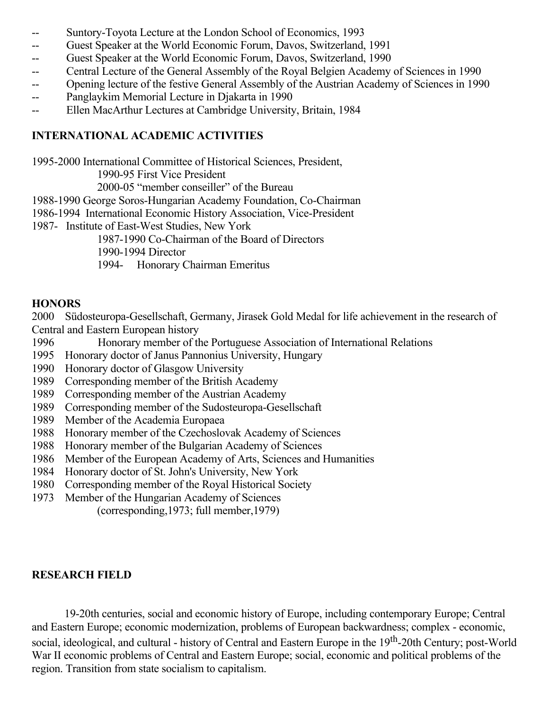- -- Suntory-Toyota Lecture at the London School of Economics, 1993
- Guest Speaker at the World Economic Forum, Davos, Switzerland, 1991
- Guest Speaker at the World Economic Forum, Davos, Switzerland, 1990
- Central Lecture of the General Assembly of the Royal Belgien Academy of Sciences in 1990
- Opening lecture of the festive General Assembly of the Austrian Academy of Sciences in 1990
- Panglaykim Memorial Lecture in Djakarta in 1990
- Ellen MacArthur Lectures at Cambridge University, Britain, 1984

## INTERNATIONAL ACADEMIC ACTIVITIES

19952000 International Committee of Historical Sciences, President,

1990-95 First Vice President

2000-05 "member conseiller" of the Bureau

1988-1990 George Soros-Hungarian Academy Foundation, Co-Chairman

1986-1994 International Economic History Association, Vice-President

1987 Institute of East-West Studies, New York

1987-1990 Co-Chairman of the Board of Directors

1990-1994 Director

1994 Honorary Chairman Emeritus

## **HONORS**

2000 Südosteuropa-Gesellschaft, Germany, Jirasek Gold Medal for life achievement in the research of Central and Eastern European history

- 1996 Honorary member of the Portuguese Association of International Relations
- 1995 Honorary doctor of Janus Pannonius University, Hungary
- 1990 Honorary doctor of Glasgow University
- 1989 Corresponding member of the British Academy
- 1989 Corresponding member of the Austrian Academy
- 1989 Corresponding member of the Sudosteuropa-Gesellschaft
- 1989 Member of the Academia Europaea
- 1988 Honorary member of the Czechoslovak Academy of Sciences
- 1988 Honorary member of the Bulgarian Academy of Sciences
- 1986 Member of the European Academy of Arts, Sciences and Humanities
- 1984 Honorary doctor of St. John's University, New York
- 1980 Corresponding member of the Royal Historical Society
- 1973 Member of the Hungarian Academy of Sciences

(corresponding,1973; full member,1979)

## RESEARCH FIELD

1920th centuries, social and economic history of Europe, including contemporary Europe; Central and Eastern Europe; economic modernization, problems of European backwardness; complex economic, social, ideological, and cultural - history of Central and Eastern Europe in the 19<sup>th</sup>-20th Century; post-World War II economic problems of Central and Eastern Europe; social, economic and political problems of the region. Transition from state socialism to capitalism.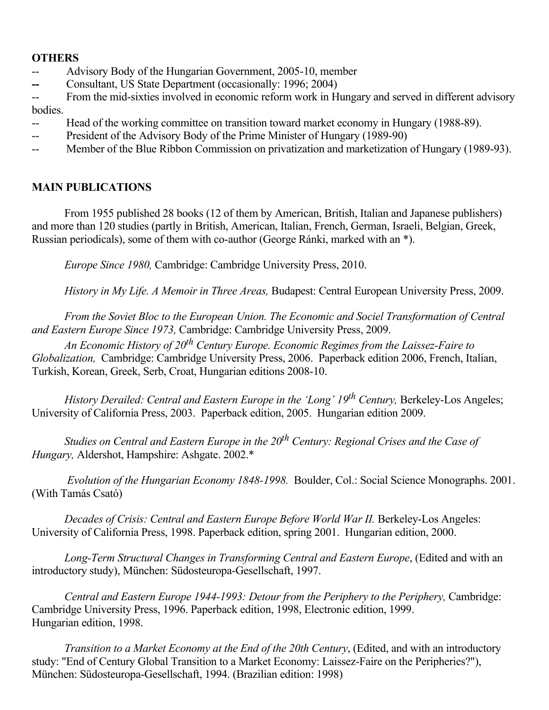### **OTHERS**

- -- Advisory Body of the Hungarian Government, 2005-10, member
- Consultant, US State Department (occasionally: 1996; 2004)
- -- From the mid-sixties involved in economic reform work in Hungary and served in different advisory bodies.
- Head of the working committee on transition toward market economy in Hungary (1988-89).
- -- President of the Advisory Body of the Prime Minister of Hungary (1989-90)
- -- Member of the Blue Ribbon Commission on privatization and marketization of Hungary (1989-93).

### MAIN PUBLICATIONS

From 1955 published 28 books (12 of them by American, British, Italian and Japanese publishers) and more than 120 studies (partly in British, American, Italian, French, German, Israeli, Belgian, Greek, Russian periodicals), some of them with co-author (George Ránki, marked with an \*).

Europe Since 1980, Cambridge: Cambridge University Press, 2010.

History in My Life. A Memoir in Three Areas, Budapest: Central European University Press, 2009.

From the Soviet Bloc to the European Union. The Economic and Sociel Transformation of Central and Eastern Europe Since 1973, Cambridge: Cambridge University Press, 2009.

An Economic History of 20<sup>th</sup> Century Europe. Economic Regimes from the Laissez-Faire to Globalization, Cambridge: Cambridge University Press, 2006. Paperback edition 2006, French, Italian, Turkish, Korean, Greek, Serb, Croat, Hungarian editions 2008-10.

History Derailed: Central and Eastern Europe in the 'Long' 19<sup>th</sup> Century, Berkeley-Los Angeles; University of California Press, 2003. Paperback edition, 2005. Hungarian edition 2009.

Studies on Central and Eastern Europe in the 20<sup>th</sup> Century: Regional Crises and the Case of Hungary, Aldershot, Hampshire: Ashgate. 2002.\*

Evolution of the Hungarian Economy 1848-1998. Boulder, Col.: Social Science Monographs. 2001. (With Tamás Csató)

Decades of Crisis: Central and Eastern Europe Before World War II. Berkeley-Los Angeles: University of California Press, 1998. Paperback edition, spring 2001. Hungarian edition, 2000.

Long-Term Structural Changes in Transforming Central and Eastern Europe, (Edited and with an introductory study), München: Südosteuropa-Gesellschaft, 1997.

Central and Eastern Europe 1944-1993: Detour from the Periphery to the Periphery, Cambridge: Cambridge University Press, 1996. Paperback edition, 1998, Electronic edition, 1999. Hungarian edition, 1998.

Transition to a Market Economy at the End of the 20th Century, (Edited, and with an introductory study: "End of Century Global Transition to a Market Economy: Laissez-Faire on the Peripheries?"), München: Südosteuropa-Gesellschaft, 1994. (Brazilian edition: 1998)